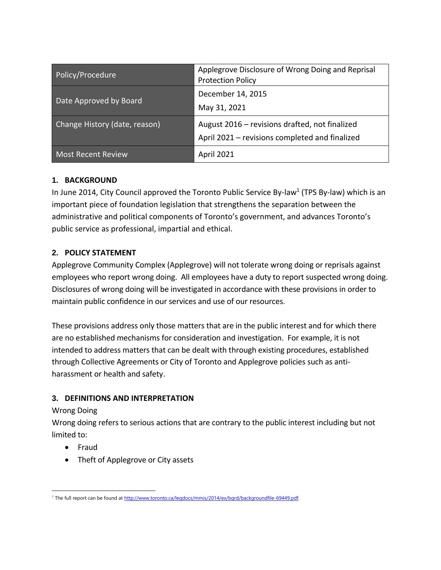| Policy/Procedure              | Applegrove Disclosure of Wrong Doing and Reprisal<br><b>Protection Policy</b>                    |
|-------------------------------|--------------------------------------------------------------------------------------------------|
| Date Approved by Board        | December 14, 2015<br>May 31, 2021                                                                |
| Change History (date, reason) | August 2016 – revisions drafted, not finalized<br>April 2021 - revisions completed and finalized |
| <b>Most Recent Review</b>     | <b>April 2021</b>                                                                                |

## **1. BACKGROUND**

In June 2014, City Council approved the Toronto Public Service By-law<sup>1</sup> (TPS By-law) which is an important piece of foundation legislation that strengthens the separation between the administrative and political components of Toronto's government, and advances Toronto's public service as professional, impartial and ethical.

## **2. POLICY STATEMENT**

Applegrove Community Complex (Applegrove) will not tolerate wrong doing or reprisals against employees who report wrong doing. All employees have a duty to report suspected wrong doing. Disclosures of wrong doing will be investigated in accordance with these provisions in order to maintain public confidence in our services and use of our resources.

These provisions address only those matters that are in the public interest and for which there are no established mechanisms for consideration and investigation. For example, it is not intended to address matters that can be dealt with through existing procedures, established through Collective Agreements or City of Toronto and Applegrove policies such as antiharassment or health and safety.

### **3. DEFINITIONS AND INTERPRETATION**

### Wrong Doing

Wrong doing refers to serious actions that are contrary to the public interest including but not limited to:

- Fraud
- Theft of Applegrove or City assets

 $\overline{a}$ <sup>1</sup> The full report can be found a[t http://www.toronto.ca/legdocs/mmis/2014/ex/bgrd/backgroundfile-69449.pdf.](http://www.toronto.ca/legdocs/mmis/2014/ex/bgrd/backgroundfile-69449.pdf)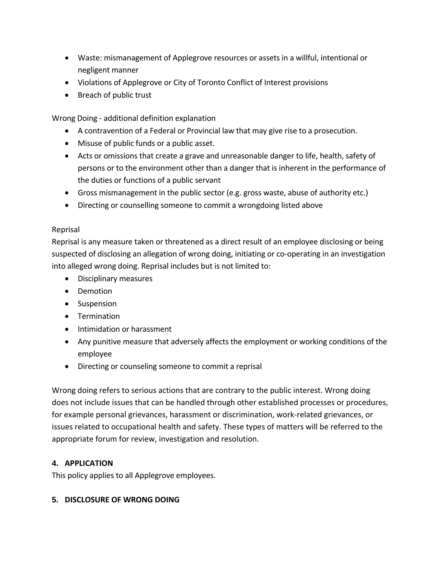- Waste: mismanagement of Applegrove resources or assets in a willful, intentional or negligent manner
- Violations of Applegrove or City of Toronto Conflict of Interest provisions
- Breach of public trust

Wrong Doing - additional definition explanation

- A contravention of a Federal or Provincial law that may give rise to a prosecution.
- Misuse of public funds or a public asset.
- Acts or omissions that create a grave and unreasonable danger to life, health, safety of persons or to the environment other than a danger that is inherent in the performance of the duties or functions of a public servant
- Gross mismanagement in the public sector (e.g. gross waste, abuse of authority etc.)
- Directing or counselling someone to commit a wrongdoing listed above

#### Reprisal

Reprisal is any measure taken or threatened as a direct result of an employee disclosing or being suspected of disclosing an allegation of wrong doing, initiating or co-operating in an investigation into alleged wrong doing. Reprisal includes but is not limited to:

- Disciplinary measures
- Demotion
- Suspension
- Termination
- Intimidation or harassment
- Any punitive measure that adversely affects the employment or working conditions of the employee
- Directing or counseling someone to commit a reprisal

Wrong doing refers to serious actions that are contrary to the public interest. Wrong doing does not include issues that can be handled through other established processes or procedures, for example personal grievances, harassment or discrimination, work-related grievances, or issues related to occupational health and safety. These types of matters will be referred to the appropriate forum for review, investigation and resolution.

### **4. APPLICATION**

This policy applies to all Applegrove employees.

### **5. DISCLOSURE OF WRONG DOING**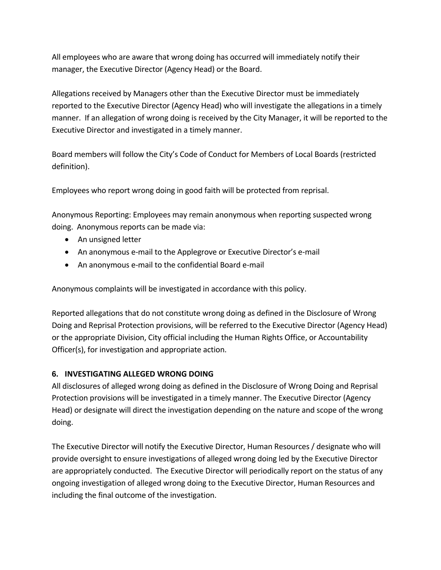All employees who are aware that wrong doing has occurred will immediately notify their manager, the Executive Director (Agency Head) or the Board.

Allegations received by Managers other than the Executive Director must be immediately reported to the Executive Director (Agency Head) who will investigate the allegations in a timely manner. If an allegation of wrong doing is received by the City Manager, it will be reported to the Executive Director and investigated in a timely manner.

Board members will follow the City's Code of Conduct for Members of Local Boards (restricted definition).

Employees who report wrong doing in good faith will be protected from reprisal.

Anonymous Reporting: Employees may remain anonymous when reporting suspected wrong doing. Anonymous reports can be made via:

- An unsigned letter
- An anonymous e-mail to the Applegrove or Executive Director's e-mail
- An anonymous e-mail to the confidential Board e-mail

Anonymous complaints will be investigated in accordance with this policy.

Reported allegations that do not constitute wrong doing as defined in the Disclosure of Wrong Doing and Reprisal Protection provisions, will be referred to the Executive Director (Agency Head) or the appropriate Division, City official including the Human Rights Office, or Accountability Officer(s), for investigation and appropriate action.

# **6. INVESTIGATING ALLEGED WRONG DOING**

All disclosures of alleged wrong doing as defined in the Disclosure of Wrong Doing and Reprisal Protection provisions will be investigated in a timely manner. The Executive Director (Agency Head) or designate will direct the investigation depending on the nature and scope of the wrong doing.

The Executive Director will notify the Executive Director, Human Resources / designate who will provide oversight to ensure investigations of alleged wrong doing led by the Executive Director are appropriately conducted. The Executive Director will periodically report on the status of any ongoing investigation of alleged wrong doing to the Executive Director, Human Resources and including the final outcome of the investigation.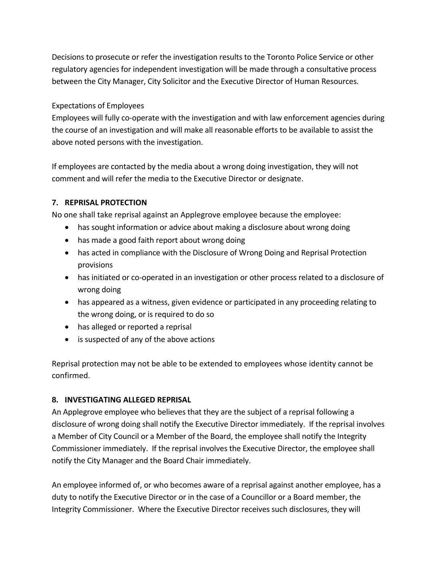Decisions to prosecute or refer the investigation results to the Toronto Police Service or other regulatory agencies for independent investigation will be made through a consultative process between the City Manager, City Solicitor and the Executive Director of Human Resources.

### Expectations of Employees

Employees will fully co-operate with the investigation and with law enforcement agencies during the course of an investigation and will make all reasonable efforts to be available to assist the above noted persons with the investigation.

If employees are contacted by the media about a wrong doing investigation, they will not comment and will refer the media to the Executive Director or designate.

### **7. REPRISAL PROTECTION**

No one shall take reprisal against an Applegrove employee because the employee:

- has sought information or advice about making a disclosure about wrong doing
- has made a good faith report about wrong doing
- has acted in compliance with the Disclosure of Wrong Doing and Reprisal Protection provisions
- has initiated or co-operated in an investigation or other process related to a disclosure of wrong doing
- has appeared as a witness, given evidence or participated in any proceeding relating to the wrong doing, or is required to do so
- has alleged or reported a reprisal
- is suspected of any of the above actions

Reprisal protection may not be able to be extended to employees whose identity cannot be confirmed.

### **8. INVESTIGATING ALLEGED REPRISAL**

An Applegrove employee who believes that they are the subject of a reprisal following a disclosure of wrong doing shall notify the Executive Director immediately. If the reprisal involves a Member of City Council or a Member of the Board, the employee shall notify the Integrity Commissioner immediately. If the reprisal involves the Executive Director, the employee shall notify the City Manager and the Board Chair immediately.

An employee informed of, or who becomes aware of a reprisal against another employee, has a duty to notify the Executive Director or in the case of a Councillor or a Board member, the Integrity Commissioner. Where the Executive Director receives such disclosures, they will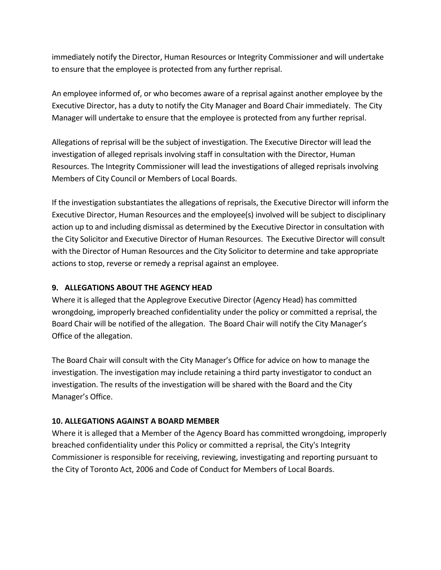immediately notify the Director, Human Resources or Integrity Commissioner and will undertake to ensure that the employee is protected from any further reprisal.

An employee informed of, or who becomes aware of a reprisal against another employee by the Executive Director, has a duty to notify the City Manager and Board Chair immediately. The City Manager will undertake to ensure that the employee is protected from any further reprisal.

Allegations of reprisal will be the subject of investigation. The Executive Director will lead the investigation of alleged reprisals involving staff in consultation with the Director, Human Resources. The Integrity Commissioner will lead the investigations of alleged reprisals involving Members of City Council or Members of Local Boards.

If the investigation substantiates the allegations of reprisals, the Executive Director will inform the Executive Director, Human Resources and the employee(s) involved will be subject to disciplinary action up to and including dismissal as determined by the Executive Director in consultation with the City Solicitor and Executive Director of Human Resources. The Executive Director will consult with the Director of Human Resources and the City Solicitor to determine and take appropriate actions to stop, reverse or remedy a reprisal against an employee.

#### **9. ALLEGATIONS ABOUT THE AGENCY HEAD**

Where it is alleged that the Applegrove Executive Director (Agency Head) has committed wrongdoing, improperly breached confidentiality under the policy or committed a reprisal, the Board Chair will be notified of the allegation. The Board Chair will notify the City Manager's Office of the allegation.

The Board Chair will consult with the City Manager's Office for advice on how to manage the investigation. The investigation may include retaining a third party investigator to conduct an investigation. The results of the investigation will be shared with the Board and the City Manager's Office.

### **10. ALLEGATIONS AGAINST A BOARD MEMBER**

Where it is alleged that a Member of the Agency Board has committed wrongdoing, improperly breached confidentiality under this Policy or committed a reprisal, the City's Integrity Commissioner is responsible for receiving, reviewing, investigating and reporting pursuant to the City of Toronto Act, 2006 and Code of Conduct for Members of Local Boards.